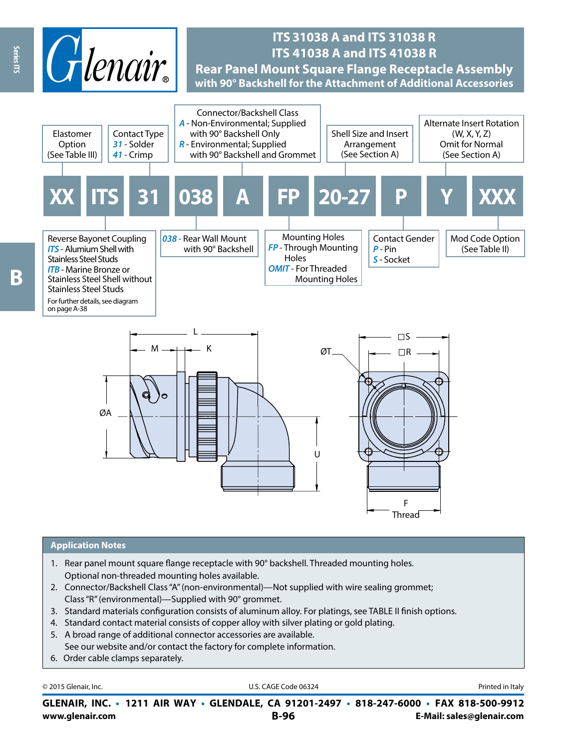

## **ITS 31038 A and ITS 31038 R ITS 41038 A and ITS 41038 R Rear Panel Mount Square Flange Receptacle Assembly with 90° Backshell for the Attachment of Additional Accessories**



#### **Application Notes**

- 1. Rear panel mount square flange receptacle with 90° backshell. Threaded mounting holes. Optional non-threaded mounting holes available.
- 2. Connector/Backshell Class "A" (non-environmental)—Not supplied with wire sealing grommet; Class "R" (environmental)—Supplied with 90° grommet.
- 3. Standard materials configuration consists of aluminum alloy. For platings, see TABLE II finish options.
- 4. Standard contact material consists of copper alloy with silver plating or gold plating.
- 5. A broad range of additional connector accessories are available. See our website and/or contact the factory for complete information.
- 6. Order cable clamps separately.

|  |  | © 2015 Glenair, Inc. |  |
|--|--|----------------------|--|
|  |  |                      |  |

U.S. CAGE Code 06324 **Printed in Italy** 

**www.glenair.com B-96 E-Mail: sales@glenair.com GLENAIR, INC. • 1211 AIR WAY • GLENDALE, CA 91201-2497 • 818-247-6000 • FAX 818-500-9912**

Series ITS